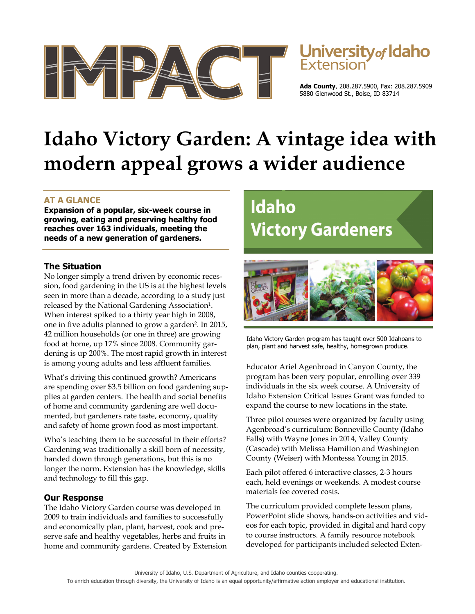



**Ada County**, 208.287.5900, Fax: 208.287.5909 5880 Glenwood St., Boise, ID 83714

# **Idaho Victory Garden: A vintage idea with modern appeal grows a wider audience**

### **AT A GLANCE**

**Expansion of a popular, six-week course in growing, eating and preserving healthy food reaches over 163 individuals, meeting the needs of a new generation of gardeners.** 

#### **The Situation**

No longer simply a trend driven by economic recession, food gardening in the US is at the highest levels seen in more than a decade, according to a study just released by the National Gardening Association<sup>1</sup>. When interest spiked to a thirty year high in 2008, one in five adults planned to grow a garden2. In 2015, 42 million households (or one in three) are growing food at home, up 17% since 2008. Community gardening is up 200%. The most rapid growth in interest is among young adults and less affluent families.

What's driving this continued growth? Americans are spending over \$3.5 billion on food gardening supplies at garden centers. The health and social benefits of home and community gardening are well documented, but gardeners rate taste, economy, quality and safety of home grown food as most important.

Who's teaching them to be successful in their efforts? Gardening was traditionally a skill born of necessity, handed down through generations, but this is no longer the norm. Extension has the knowledge, skills and technology to fill this gap.

#### **Our Response**

The Idaho Victory Garden course was developed in 2009 to train individuals and families to successfully and economically plan, plant, harvest, cook and preserve safe and healthy vegetables, herbs and fruits in home and community gardens. Created by Extension

## Idaho **Victory Gardeners**



Idaho Victory Garden program has taught over 500 Idahoans to plan, plant and harvest safe, healthy, homegrown produce.

Educator Ariel Agenbroad in Canyon County, the program has been very popular, enrolling over 339 individuals in the six week course. A University of Idaho Extension Critical Issues Grant was funded to expand the course to new locations in the state.

Three pilot courses were organized by faculty using Agenbroad's curriculum: Bonneville County (Idaho Falls) with Wayne Jones in 2014, Valley County (Cascade) with Melissa Hamilton and Washington County (Weiser) with Montessa Young in 2015.

Each pilot offered 6 interactive classes, 2-3 hours each, held evenings or weekends. A modest course materials fee covered costs.

The curriculum provided complete lesson plans, PowerPoint slide shows, hands-on activities and videos for each topic, provided in digital and hard copy to course instructors. A family resource notebook developed for participants included selected Exten